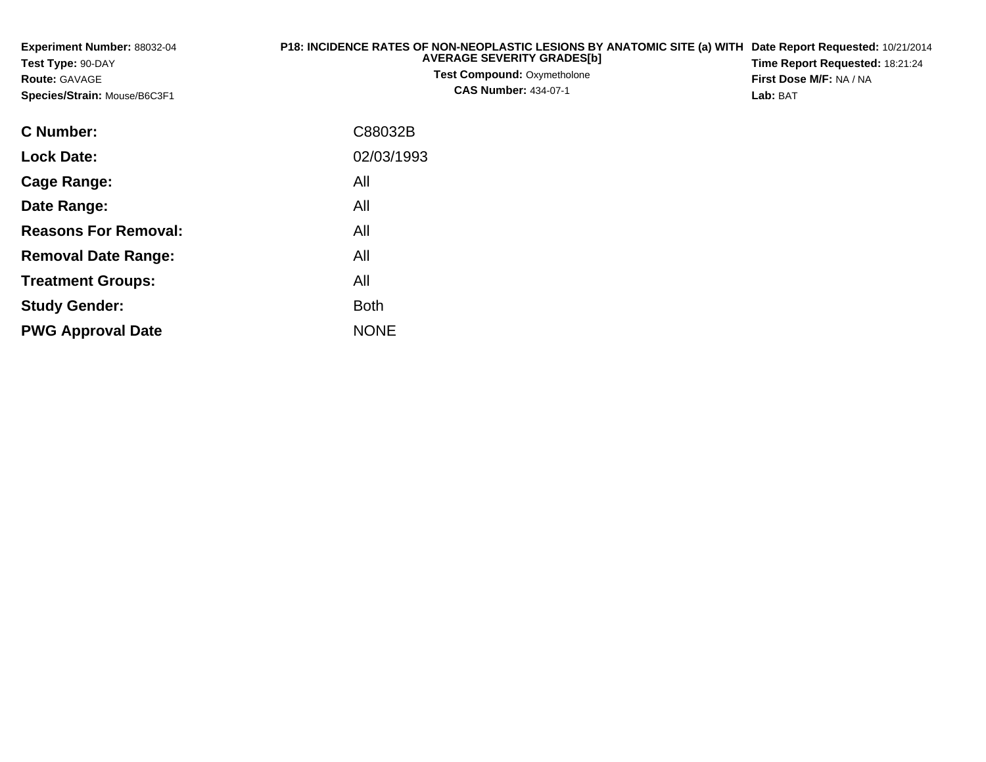| Experiment Number: 88032-04<br>Test Type: 90-DAY<br><b>Route: GAVAGE</b><br>Species/Strain: Mouse/B6C3F1 | P18: INCIDENCE RATES OF NON-NEOPLASTIC LESIONS BY ANATOMIC SITE (a) WITH Date Report Requested: 10/21/2014<br><b>AVERAGE SEVERITY GRADES[b]</b><br><b>Test Compound: Oxymetholone</b><br><b>CAS Number: 434-07-1</b> | Time Report Requested: 18:21:24<br>First Dose M/F: NA / NA<br>Lab: BAT |
|----------------------------------------------------------------------------------------------------------|----------------------------------------------------------------------------------------------------------------------------------------------------------------------------------------------------------------------|------------------------------------------------------------------------|
| <b>C</b> Number:                                                                                         | C88032B                                                                                                                                                                                                              |                                                                        |
| <b>Lock Date:</b>                                                                                        | 02/03/1993                                                                                                                                                                                                           |                                                                        |
| <b>Cage Range:</b>                                                                                       | All                                                                                                                                                                                                                  |                                                                        |
| Date Range:                                                                                              | All                                                                                                                                                                                                                  |                                                                        |
| <b>Reasons For Removal:</b>                                                                              | All                                                                                                                                                                                                                  |                                                                        |
| <b>Removal Date Range:</b>                                                                               | All                                                                                                                                                                                                                  |                                                                        |

**Treatment Groups:**

**PWG Approval Date**

**Study Gender:**

All

e NONE

Both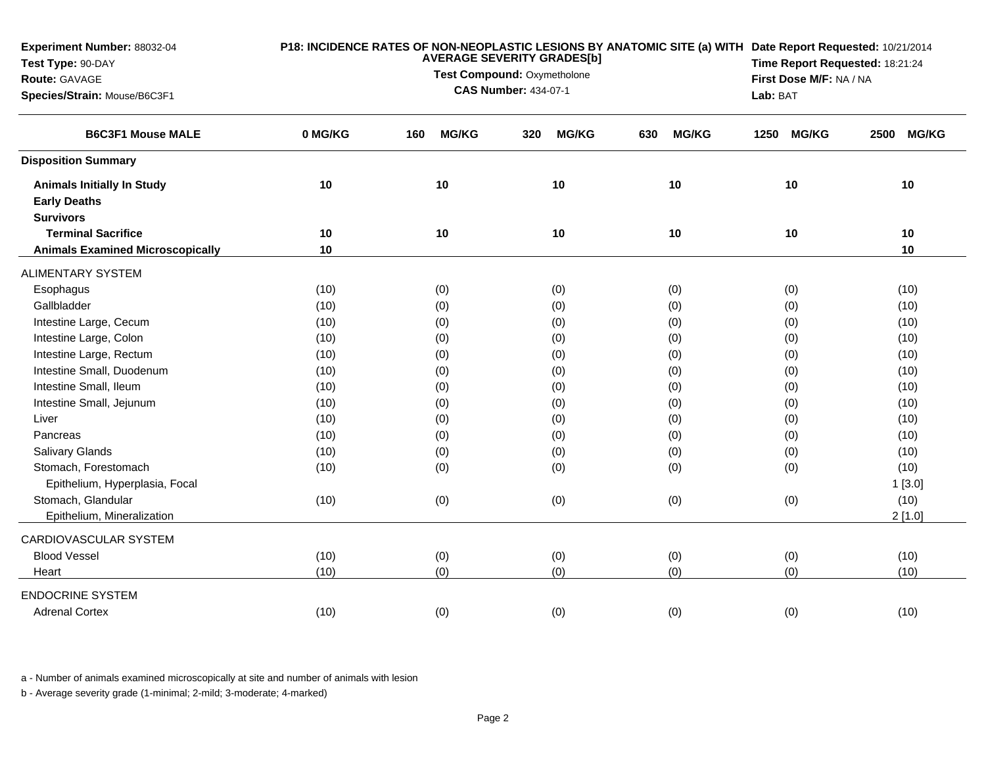| Experiment Number: 88032-04<br>Test Type: 90-DAY<br>Route: GAVAGE<br>Species/Strain: Mouse/B6C3F1 |         | P18: INCIDENCE RATES OF NON-NEOPLASTIC LESIONS BY ANATOMIC SITE (a) WITH Date Report Requested: 10/21/2014<br>Time Report Requested: 18:21:24<br>First Dose M/F: NA / NA<br>Lab: BAT |                     |                     |                      |                      |
|---------------------------------------------------------------------------------------------------|---------|--------------------------------------------------------------------------------------------------------------------------------------------------------------------------------------|---------------------|---------------------|----------------------|----------------------|
| <b>B6C3F1 Mouse MALE</b>                                                                          | 0 MG/KG | <b>MG/KG</b><br>160                                                                                                                                                                  | <b>MG/KG</b><br>320 | <b>MG/KG</b><br>630 | <b>MG/KG</b><br>1250 | <b>MG/KG</b><br>2500 |
| <b>Disposition Summary</b>                                                                        |         |                                                                                                                                                                                      |                     |                     |                      |                      |
| <b>Animals Initially In Study</b><br><b>Early Deaths</b><br><b>Survivors</b>                      | 10      | 10                                                                                                                                                                                   | 10                  | 10                  | 10                   | 10                   |
| <b>Terminal Sacrifice</b>                                                                         | 10      | 10                                                                                                                                                                                   | 10                  | 10                  | 10                   | 10                   |
| <b>Animals Examined Microscopically</b>                                                           | 10      |                                                                                                                                                                                      |                     |                     |                      | 10                   |
| <b>ALIMENTARY SYSTEM</b>                                                                          |         |                                                                                                                                                                                      |                     |                     |                      |                      |
| Esophagus                                                                                         | (10)    | (0)                                                                                                                                                                                  | (0)                 | (0)                 | (0)                  | (10)                 |
| Gallbladder                                                                                       | (10)    | (0)                                                                                                                                                                                  | (0)                 | (0)                 | (0)                  | (10)                 |
| Intestine Large, Cecum                                                                            | (10)    | (0)                                                                                                                                                                                  | (0)                 | (0)                 | (0)                  | (10)                 |
| Intestine Large, Colon                                                                            | (10)    | (0)                                                                                                                                                                                  | (0)                 | (0)                 | (0)                  | (10)                 |
| Intestine Large, Rectum                                                                           | (10)    | (0)                                                                                                                                                                                  | (0)                 | (0)                 | (0)                  | (10)                 |
| Intestine Small, Duodenum                                                                         | (10)    | (0)                                                                                                                                                                                  | (0)                 | (0)                 | (0)                  | (10)                 |
| Intestine Small, Ileum                                                                            | (10)    | (0)                                                                                                                                                                                  | (0)                 | (0)                 | (0)                  | (10)                 |
| Intestine Small, Jejunum                                                                          | (10)    | (0)                                                                                                                                                                                  | (0)                 | (0)                 | (0)                  | (10)                 |
| Liver                                                                                             | (10)    | (0)                                                                                                                                                                                  | (0)                 | (0)                 | (0)                  | (10)                 |
| Pancreas                                                                                          | (10)    | (0)                                                                                                                                                                                  | (0)                 | (0)                 | (0)                  | (10)                 |
| <b>Salivary Glands</b>                                                                            | (10)    | (0)                                                                                                                                                                                  | (0)                 | (0)                 | (0)                  | (10)                 |
| Stomach, Forestomach                                                                              | (10)    | (0)                                                                                                                                                                                  | (0)                 | (0)                 | (0)                  | (10)                 |
| Epithelium, Hyperplasia, Focal                                                                    |         |                                                                                                                                                                                      |                     |                     |                      | 1[3.0]               |
| Stomach, Glandular                                                                                | (10)    | (0)                                                                                                                                                                                  | (0)                 | (0)                 | (0)                  | (10)                 |
| Epithelium, Mineralization                                                                        |         |                                                                                                                                                                                      |                     |                     |                      | 2[1.0]               |
| CARDIOVASCULAR SYSTEM                                                                             |         |                                                                                                                                                                                      |                     |                     |                      |                      |
| <b>Blood Vessel</b>                                                                               | (10)    | (0)                                                                                                                                                                                  | (0)                 | (0)                 | (0)                  | (10)                 |
| Heart                                                                                             | (10)    | (0)                                                                                                                                                                                  | (0)                 | (0)                 | (0)                  | (10)                 |
| <b>ENDOCRINE SYSTEM</b>                                                                           |         |                                                                                                                                                                                      |                     |                     |                      |                      |
| <b>Adrenal Cortex</b>                                                                             | (10)    | (0)                                                                                                                                                                                  | (0)                 | (0)                 | (0)                  | (10)                 |

a - Number of animals examined microscopically at site and number of animals with lesion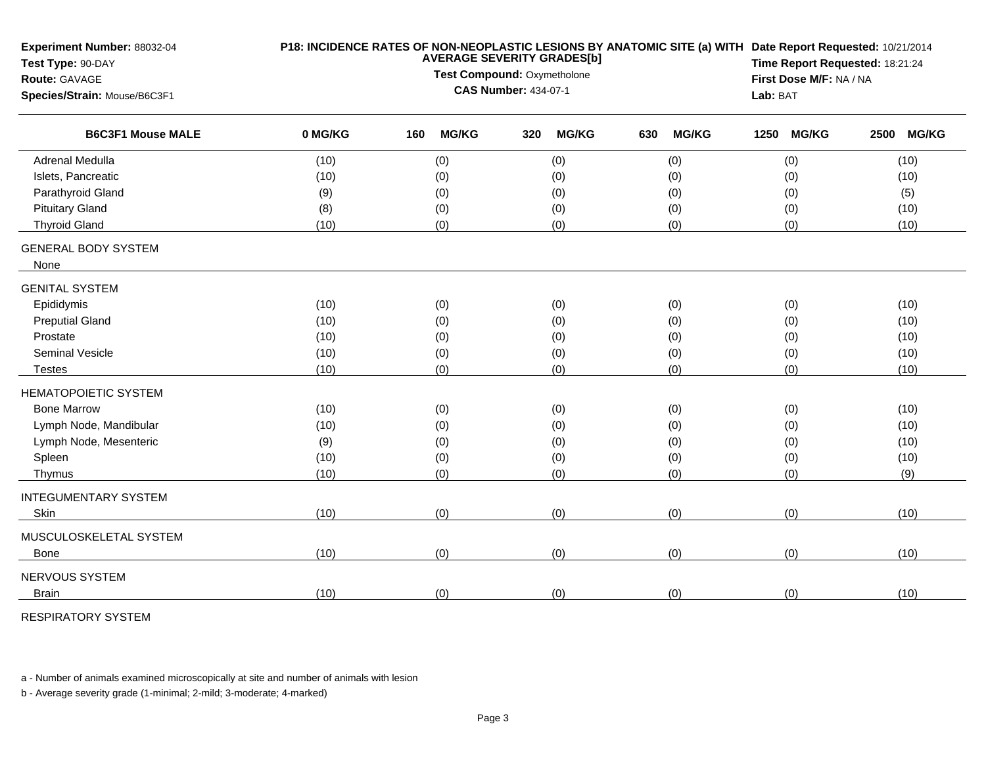| Experiment Number: 88032-04<br>Test Type: 90-DAY         |         | P18: INCIDENCE RATES OF NON-NEOPLASTIC LESIONS BY ANATOMIC SITE (a) WITH Date Report Requested: 10/21/2014<br><b>AVERAGE SEVERITY GRADES[b]</b> |              |     |              |     |              | Time Report Requested: 18:21:24 |                         |      |              |
|----------------------------------------------------------|---------|-------------------------------------------------------------------------------------------------------------------------------------------------|--------------|-----|--------------|-----|--------------|---------------------------------|-------------------------|------|--------------|
| Route: GAVAGE                                            |         | Test Compound: Oxymetholone                                                                                                                     |              |     |              |     |              |                                 | First Dose M/F: NA / NA |      |              |
| Species/Strain: Mouse/B6C3F1<br><b>B6C3F1 Mouse MALE</b> |         | <b>CAS Number: 434-07-1</b>                                                                                                                     |              |     |              |     |              |                                 | Lab: BAT                |      |              |
|                                                          | 0 MG/KG | 160                                                                                                                                             | <b>MG/KG</b> | 320 | <b>MG/KG</b> | 630 | <b>MG/KG</b> | 1250                            | <b>MG/KG</b>            | 2500 | <b>MG/KG</b> |
| <b>Adrenal Medulla</b>                                   | (10)    |                                                                                                                                                 | (0)          |     | (0)          |     | (0)          |                                 | (0)                     |      | (10)         |
| Islets, Pancreatic                                       | (10)    |                                                                                                                                                 | (0)          |     | (0)          |     | (0)          |                                 | (0)                     |      | (10)         |
| Parathyroid Gland                                        | (9)     |                                                                                                                                                 | (0)          |     | (0)          |     | (0)          |                                 | (0)                     |      | (5)          |
| <b>Pituitary Gland</b>                                   | (8)     |                                                                                                                                                 | (0)          |     | (0)          |     | (0)          |                                 | (0)                     |      | (10)         |
| <b>Thyroid Gland</b>                                     | (10)    |                                                                                                                                                 | (0)          |     | (0)          |     | (0)          |                                 | (0)                     |      | (10)         |
| <b>GENERAL BODY SYSTEM</b>                               |         |                                                                                                                                                 |              |     |              |     |              |                                 |                         |      |              |
| None                                                     |         |                                                                                                                                                 |              |     |              |     |              |                                 |                         |      |              |
| <b>GENITAL SYSTEM</b>                                    |         |                                                                                                                                                 |              |     |              |     |              |                                 |                         |      |              |
| Epididymis                                               | (10)    |                                                                                                                                                 | (0)          |     | (0)          |     | (0)          |                                 | (0)                     |      | (10)         |
| <b>Preputial Gland</b>                                   | (10)    |                                                                                                                                                 | (0)          |     | (0)          |     | (0)          |                                 | (0)                     |      | (10)         |
| Prostate                                                 | (10)    |                                                                                                                                                 | (0)          |     | (0)          |     | (0)          |                                 | (0)                     |      | (10)         |
| Seminal Vesicle                                          | (10)    |                                                                                                                                                 | (0)          |     | (0)          |     | (0)          |                                 | (0)                     |      | (10)         |
| Testes                                                   | (10)    |                                                                                                                                                 | (0)          |     | (0)          |     | (0)          |                                 | (0)                     |      | (10)         |
| <b>HEMATOPOIETIC SYSTEM</b>                              |         |                                                                                                                                                 |              |     |              |     |              |                                 |                         |      |              |
| <b>Bone Marrow</b>                                       | (10)    |                                                                                                                                                 | (0)          |     | (0)          |     | (0)          |                                 | (0)                     |      | (10)         |
| Lymph Node, Mandibular                                   | (10)    |                                                                                                                                                 | (0)          |     | (0)          |     | (0)          |                                 | (0)                     |      | (10)         |
| Lymph Node, Mesenteric                                   | (9)     |                                                                                                                                                 | (0)          |     | (0)          |     | (0)          |                                 | (0)                     |      | (10)         |
| Spleen                                                   | (10)    |                                                                                                                                                 | (0)          |     | (0)          |     | (0)          |                                 | (0)                     |      | (10)         |
| Thymus                                                   | (10)    |                                                                                                                                                 | (0)          |     | (0)          |     | (0)          |                                 | (0)                     |      | (9)          |
| <b>INTEGUMENTARY SYSTEM</b>                              |         |                                                                                                                                                 |              |     |              |     |              |                                 |                         |      |              |
| Skin                                                     | (10)    |                                                                                                                                                 | (0)          |     | (0)          |     | (0)          |                                 | (0)                     |      | (10)         |
| MUSCULOSKELETAL SYSTEM                                   |         |                                                                                                                                                 |              |     |              |     |              |                                 |                         |      |              |
| <b>Bone</b>                                              | (10)    |                                                                                                                                                 | (0)          |     | (0)          |     | (0)          |                                 | (0)                     |      | (10)         |
| NERVOUS SYSTEM                                           |         |                                                                                                                                                 |              |     |              |     |              |                                 |                         |      |              |
| <b>Brain</b>                                             | (10)    |                                                                                                                                                 | (0)          |     | (0)          |     | (0)          |                                 | (0)                     |      | (10)         |
|                                                          |         |                                                                                                                                                 |              |     |              |     |              |                                 |                         |      |              |

RESPIRATORY SYSTEM

a - Number of animals examined microscopically at site and number of animals with lesion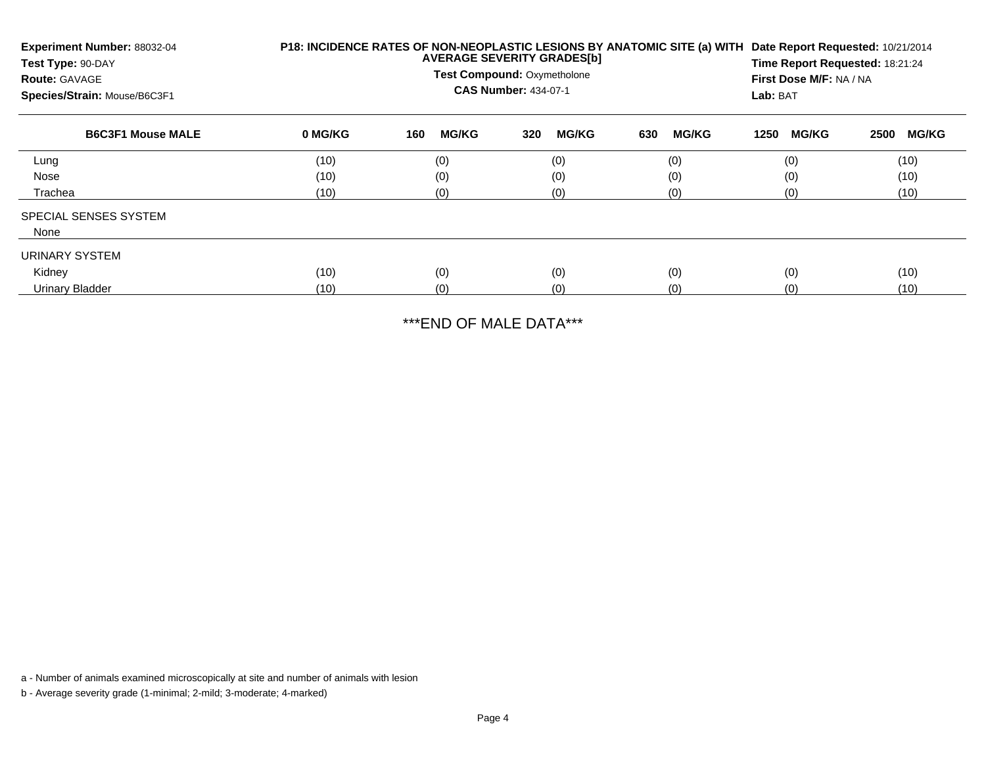| Experiment Number: 88032-04<br>Test Type: 90-DAY<br><b>Route: GAVAGE</b><br>Species/Strain: Mouse/B6C3F1 | P18: INCIDENCE RATES OF NON-NEOPLASTIC LESIONS BY ANATOMIC SITE (a) WITH<br>Date Report Requested: 10/21/2014<br><b>AVERAGE SEVERITY GRADES[b]</b><br>Time Report Requested: 18:21:24<br><b>Test Compound: Oxymetholone</b><br>First Dose M/F: NA / NA<br><b>CAS Number: 434-07-1</b><br>Lab: BAT |                     |                     |                     |                      |                      |  |
|----------------------------------------------------------------------------------------------------------|---------------------------------------------------------------------------------------------------------------------------------------------------------------------------------------------------------------------------------------------------------------------------------------------------|---------------------|---------------------|---------------------|----------------------|----------------------|--|
| <b>B6C3F1 Mouse MALE</b>                                                                                 | 0 MG/KG                                                                                                                                                                                                                                                                                           | <b>MG/KG</b><br>160 | <b>MG/KG</b><br>320 | 630<br><b>MG/KG</b> | <b>MG/KG</b><br>1250 | <b>MG/KG</b><br>2500 |  |
| Lung                                                                                                     | (10)                                                                                                                                                                                                                                                                                              | (0)                 | (0)                 | (0)                 | (0)                  | (10)                 |  |
| Nose                                                                                                     | (10)                                                                                                                                                                                                                                                                                              | (0)                 | (0)                 | (0)                 | (0)                  | (10)                 |  |
| Trachea                                                                                                  | (10)                                                                                                                                                                                                                                                                                              | (0)                 | (0)                 | (0)                 | (0)                  | (10)                 |  |
| SPECIAL SENSES SYSTEM                                                                                    |                                                                                                                                                                                                                                                                                                   |                     |                     |                     |                      |                      |  |
| None                                                                                                     |                                                                                                                                                                                                                                                                                                   |                     |                     |                     |                      |                      |  |
| URINARY SYSTEM                                                                                           |                                                                                                                                                                                                                                                                                                   |                     |                     |                     |                      |                      |  |
| Kidney                                                                                                   | (10)                                                                                                                                                                                                                                                                                              | (0)                 | (0)                 | (0)                 | (0)                  | (10)                 |  |
| Urinary Bladder                                                                                          | (10)                                                                                                                                                                                                                                                                                              | (0)                 | (0)                 | (0)                 | (0)                  | (10)                 |  |

\*\*\*END OF MALE DATA\*\*\*

a - Number of animals examined microscopically at site and number of animals with lesion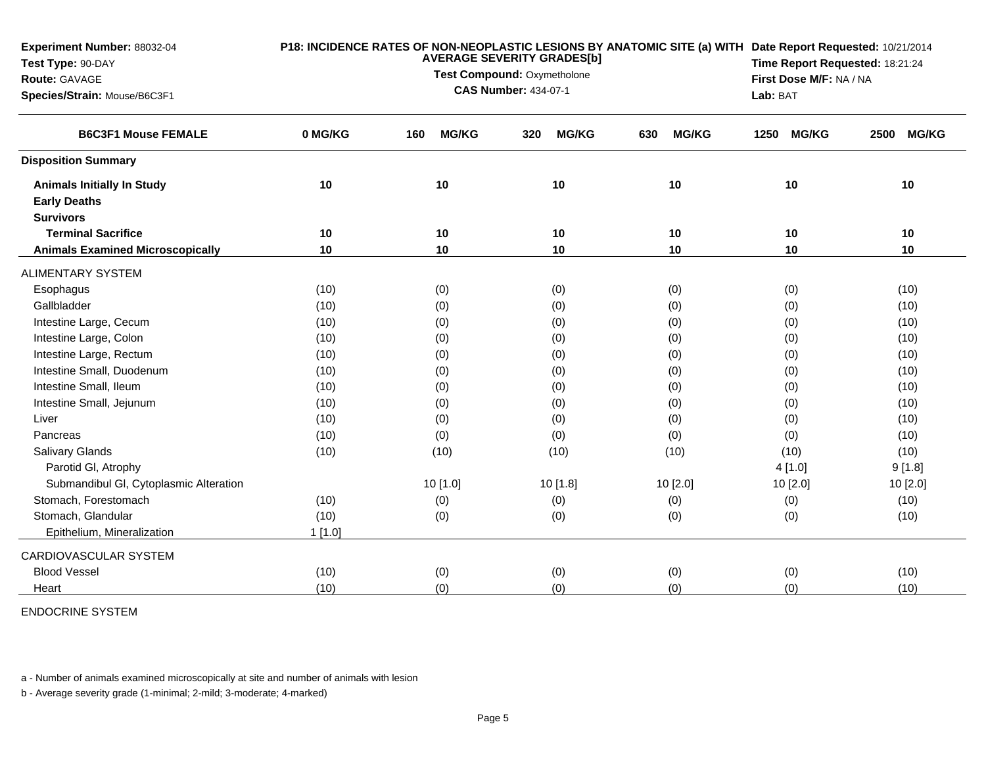| <b>Experiment Number: 88032-04</b><br>Test Type: 90-DAY<br><b>Route: GAVAGE</b><br>Species/Strain: Mouse/B6C3F1 |           | P18: INCIDENCE RATES OF NON-NEOPLASTIC LESIONS BY ANATOMIC SITE (a) WITH Date Report Requested: 10/21/2014<br>Time Report Requested: 18:21:24<br>First Dose M/F: NA / NA<br>Lab: BAT |                     |                     |                      |                      |
|-----------------------------------------------------------------------------------------------------------------|-----------|--------------------------------------------------------------------------------------------------------------------------------------------------------------------------------------|---------------------|---------------------|----------------------|----------------------|
| <b>B6C3F1 Mouse FEMALE</b>                                                                                      | 0 MG/KG   | <b>MG/KG</b><br>160                                                                                                                                                                  | <b>MG/KG</b><br>320 | <b>MG/KG</b><br>630 | <b>MG/KG</b><br>1250 | <b>MG/KG</b><br>2500 |
| <b>Disposition Summary</b>                                                                                      |           |                                                                                                                                                                                      |                     |                     |                      |                      |
| <b>Animals Initially In Study</b>                                                                               | 10        | 10                                                                                                                                                                                   | 10                  | 10                  | 10                   | 10                   |
| <b>Early Deaths</b>                                                                                             |           |                                                                                                                                                                                      |                     |                     |                      |                      |
| <b>Survivors</b>                                                                                                |           |                                                                                                                                                                                      |                     |                     |                      |                      |
| <b>Terminal Sacrifice</b>                                                                                       | 10        | 10                                                                                                                                                                                   | 10                  | 10                  | 10                   | 10                   |
| <b>Animals Examined Microscopically</b>                                                                         | 10        | 10                                                                                                                                                                                   | 10                  | 10                  | 10                   | 10                   |
| <b>ALIMENTARY SYSTEM</b>                                                                                        |           |                                                                                                                                                                                      |                     |                     |                      |                      |
| Esophagus                                                                                                       | (10)      | (0)                                                                                                                                                                                  | (0)                 | (0)                 | (0)                  | (10)                 |
| Gallbladder                                                                                                     | (10)      | (0)                                                                                                                                                                                  | (0)                 | (0)                 | (0)                  | (10)                 |
| Intestine Large, Cecum                                                                                          | (10)      | (0)                                                                                                                                                                                  | (0)                 | (0)                 | (0)                  | (10)                 |
| Intestine Large, Colon                                                                                          | (10)      | (0)                                                                                                                                                                                  | (0)                 | (0)                 | (0)                  | (10)                 |
| Intestine Large, Rectum                                                                                         | (10)      | (0)                                                                                                                                                                                  | (0)                 | (0)                 | (0)                  | (10)                 |
| Intestine Small, Duodenum                                                                                       | (10)      | (0)                                                                                                                                                                                  | (0)                 | (0)                 | (0)                  | (10)                 |
| Intestine Small, Ileum                                                                                          | (10)      | (0)                                                                                                                                                                                  | (0)                 | (0)                 | (0)                  | (10)                 |
| Intestine Small, Jejunum                                                                                        | (10)      | (0)                                                                                                                                                                                  | (0)                 | (0)                 | (0)                  | (10)                 |
| Liver                                                                                                           | (10)      | (0)                                                                                                                                                                                  | (0)                 | (0)                 | (0)                  | (10)                 |
| Pancreas                                                                                                        | (10)      | (0)                                                                                                                                                                                  | (0)                 | (0)                 | (0)                  | (10)                 |
| Salivary Glands                                                                                                 | (10)      | (10)                                                                                                                                                                                 | (10)                | (10)                | (10)                 | (10)                 |
| Parotid GI, Atrophy                                                                                             |           |                                                                                                                                                                                      |                     |                     | 4[1.0]               | 9[1.8]               |
| Submandibul GI, Cytoplasmic Alteration                                                                          |           | 10 [1.0]                                                                                                                                                                             | 10 [1.8]            | 10 [2.0]            | 10 [2.0]             | 10 [2.0]             |
| Stomach, Forestomach                                                                                            | (10)      | (0)                                                                                                                                                                                  | (0)                 | (0)                 | (0)                  | (10)                 |
| Stomach, Glandular                                                                                              | (10)      | (0)                                                                                                                                                                                  | (0)                 | (0)                 | (0)                  | (10)                 |
| Epithelium, Mineralization                                                                                      | $1$ [1.0] |                                                                                                                                                                                      |                     |                     |                      |                      |
| CARDIOVASCULAR SYSTEM                                                                                           |           |                                                                                                                                                                                      |                     |                     |                      |                      |
| <b>Blood Vessel</b>                                                                                             | (10)      | (0)                                                                                                                                                                                  | (0)                 | (0)                 | (0)                  | (10)                 |
| Heart                                                                                                           | (10)      | (0)                                                                                                                                                                                  | (0)                 | (0)                 | (0)                  | (10)                 |

## ENDOCRINE SYSTEM

a - Number of animals examined microscopically at site and number of animals with lesion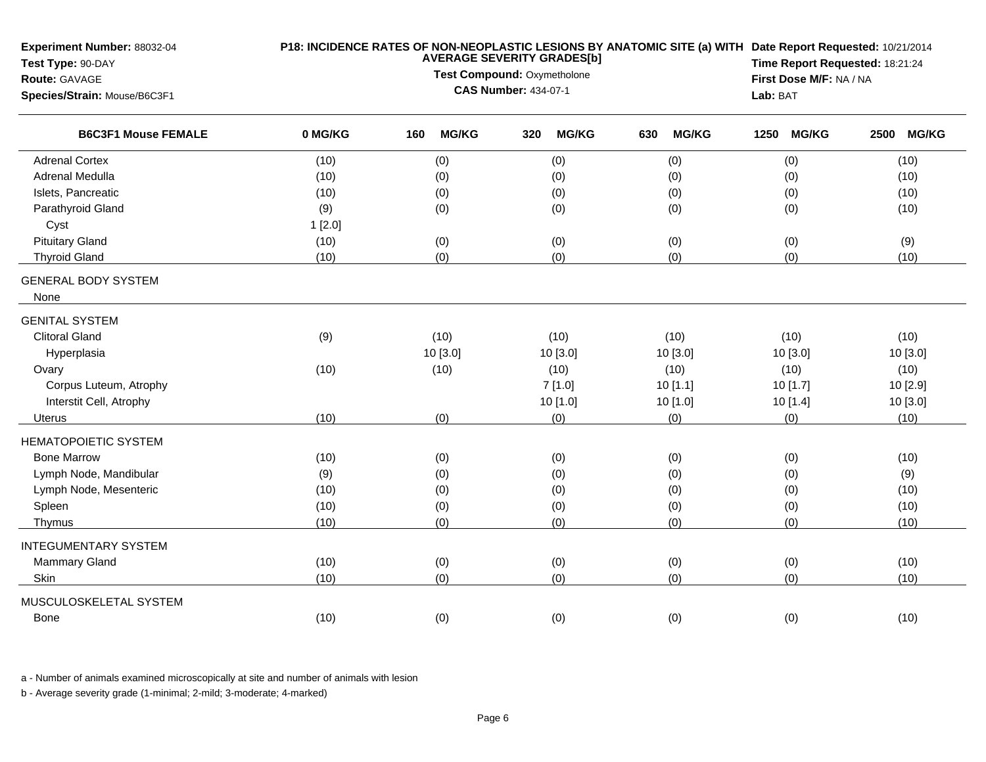| Experiment Number: 88032-04<br>Test Type: 90-DAY<br>Route: GAVAGE<br>Species/Strain: Mouse/B6C3F1 |         | <b>AVERAGE SEVERITY GRADES[b]</b><br>Test Compound: Oxymetholone<br><b>CAS Number: 434-07-1</b> | P18: INCIDENCE RATES OF NON-NEOPLASTIC LESIONS BY ANATOMIC SITE (a) WITH Date Report Requested: 10/21/2014<br>Time Report Requested: 18:21:24<br>First Dose M/F: NA / NA<br>Lab: BAT |                     |                      |                      |
|---------------------------------------------------------------------------------------------------|---------|-------------------------------------------------------------------------------------------------|--------------------------------------------------------------------------------------------------------------------------------------------------------------------------------------|---------------------|----------------------|----------------------|
| <b>B6C3F1 Mouse FEMALE</b>                                                                        | 0 MG/KG | <b>MG/KG</b><br>160                                                                             | <b>MG/KG</b><br>320                                                                                                                                                                  | <b>MG/KG</b><br>630 | 1250<br><b>MG/KG</b> | <b>MG/KG</b><br>2500 |
| <b>Adrenal Cortex</b>                                                                             | (10)    | (0)                                                                                             | (0)                                                                                                                                                                                  | (0)                 | (0)                  | (10)                 |
| Adrenal Medulla                                                                                   | (10)    | (0)                                                                                             | (0)                                                                                                                                                                                  | (0)                 | (0)                  | (10)                 |
| Islets, Pancreatic                                                                                | (10)    | (0)                                                                                             | (0)                                                                                                                                                                                  | (0)                 | (0)                  | (10)                 |
| Parathyroid Gland                                                                                 | (9)     | (0)                                                                                             | (0)                                                                                                                                                                                  | (0)                 | (0)                  | (10)                 |
| Cyst                                                                                              | 1[2.0]  |                                                                                                 |                                                                                                                                                                                      |                     |                      |                      |
| <b>Pituitary Gland</b>                                                                            | (10)    | (0)                                                                                             | (0)                                                                                                                                                                                  | (0)                 | (0)                  | (9)                  |
| <b>Thyroid Gland</b>                                                                              | (10)    | (0)                                                                                             | (0)                                                                                                                                                                                  | (0)                 | (0)                  | (10)                 |
| <b>GENERAL BODY SYSTEM</b><br>None                                                                |         |                                                                                                 |                                                                                                                                                                                      |                     |                      |                      |
| <b>GENITAL SYSTEM</b>                                                                             |         |                                                                                                 |                                                                                                                                                                                      |                     |                      |                      |
| <b>Clitoral Gland</b>                                                                             | (9)     | (10)                                                                                            | (10)                                                                                                                                                                                 | (10)                | (10)                 | (10)                 |
| Hyperplasia                                                                                       |         | 10 [3.0]                                                                                        | 10 [3.0]                                                                                                                                                                             | 10 [3.0]            | 10 [3.0]             | 10 [3.0]             |
| Ovary                                                                                             | (10)    | (10)                                                                                            | (10)                                                                                                                                                                                 | (10)                | (10)                 | (10)                 |
| Corpus Luteum, Atrophy                                                                            |         |                                                                                                 | 7[1.0]                                                                                                                                                                               | 10[1.1]             | 10 [1.7]             | 10 [2.9]             |
| Interstit Cell, Atrophy                                                                           |         |                                                                                                 | 10 [1.0]                                                                                                                                                                             | 10 [1.0]            | 10[1.4]              | 10 [3.0]             |
| Uterus                                                                                            | (10)    | (0)                                                                                             | (0)                                                                                                                                                                                  | (0)                 | (0)                  | (10)                 |
| <b>HEMATOPOIETIC SYSTEM</b>                                                                       |         |                                                                                                 |                                                                                                                                                                                      |                     |                      |                      |
| <b>Bone Marrow</b>                                                                                | (10)    | (0)                                                                                             | (0)                                                                                                                                                                                  | (0)                 | (0)                  | (10)                 |
| Lymph Node, Mandibular                                                                            | (9)     | (0)                                                                                             | (0)                                                                                                                                                                                  | (0)                 | (0)                  | (9)                  |
| Lymph Node, Mesenteric                                                                            | (10)    | (0)                                                                                             | (0)                                                                                                                                                                                  | (0)                 | (0)                  | (10)                 |
| Spleen                                                                                            | (10)    | (0)                                                                                             | (0)                                                                                                                                                                                  | (0)                 | (0)                  | (10)                 |
| Thymus                                                                                            | (10)    | (0)                                                                                             | (0)                                                                                                                                                                                  | (0)                 | (0)                  | (10)                 |
| <b>INTEGUMENTARY SYSTEM</b>                                                                       |         |                                                                                                 |                                                                                                                                                                                      |                     |                      |                      |
| Mammary Gland                                                                                     | (10)    | (0)                                                                                             | (0)                                                                                                                                                                                  | (0)                 | (0)                  | (10)                 |
| Skin                                                                                              | (10)    | (0)                                                                                             | (0)                                                                                                                                                                                  | (0)                 | (0)                  | (10)                 |
| MUSCULOSKELETAL SYSTEM                                                                            |         |                                                                                                 |                                                                                                                                                                                      |                     |                      |                      |
| Bone                                                                                              | (10)    | (0)                                                                                             | (0)                                                                                                                                                                                  | (0)                 | (0)                  | (10)                 |

a - Number of animals examined microscopically at site and number of animals with lesion